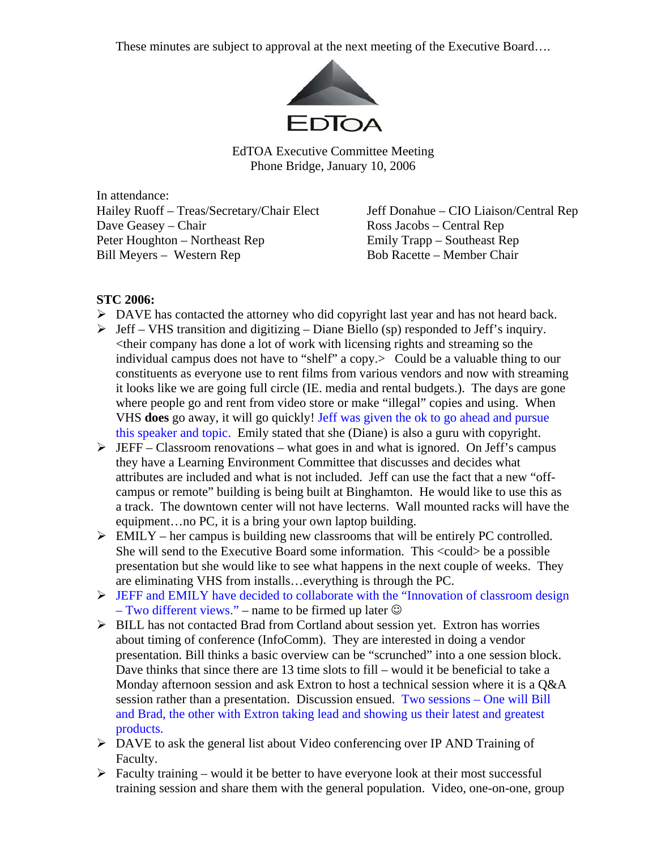These minutes are subject to approval at the next meeting of the Executive Board….



EdTOA Executive Committee Meeting Phone Bridge, January 10, 2006

In attendance: Hailey Ruoff – Treas/Secretary/Chair Elect Jeff Donahue – CIO Liaison/Central Rep Dave Geasey – Chair Ross Jacobs – Central Rep Peter Houghton – Northeast Rep Emily Trapp – Southeast Rep Bill Meyers – Western Rep Bob Racette – Member Chair

## **STC 2006:**

- ¾ DAVE has contacted the attorney who did copyright last year and has not heard back.
- $\triangleright$  Jeff VHS transition and digitizing Diane Biello (sp) responded to Jeff's inquiry. <their company has done a lot of work with licensing rights and streaming so the individual campus does not have to "shelf" a copy. Could be a valuable thing to our constituents as everyone use to rent films from various vendors and now with streaming it looks like we are going full circle (IE. media and rental budgets.). The days are gone where people go and rent from video store or make "illegal" copies and using. When VHS **does** go away, it will go quickly! Jeff was given the ok to go ahead and pursue this speaker and topic. Emily stated that she (Diane) is also a guru with copyright.
- $\triangleright$  JEFF Classroom renovations what goes in and what is ignored. On Jeff's campus they have a Learning Environment Committee that discusses and decides what attributes are included and what is not included. Jeff can use the fact that a new "offcampus or remote" building is being built at Binghamton. He would like to use this as a track. The downtown center will not have lecterns. Wall mounted racks will have the equipment…no PC, it is a bring your own laptop building.
- $\triangleright$  EMILY her campus is building new classrooms that will be entirely PC controlled. She will send to the Executive Board some information. This <could> be a possible presentation but she would like to see what happens in the next couple of weeks. They are eliminating VHS from installs…everything is through the PC.
- ¾ JEFF and EMILY have decided to collaborate with the "Innovation of classroom design – Two different views." – name to be firmed up later  $\odot$
- ¾ BILL has not contacted Brad from Cortland about session yet. Extron has worries about timing of conference (InfoComm). They are interested in doing a vendor presentation. Bill thinks a basic overview can be "scrunched" into a one session block. Dave thinks that since there are 13 time slots to fill – would it be beneficial to take a Monday afternoon session and ask Extron to host a technical session where it is a Q&A session rather than a presentation. Discussion ensued. Two sessions – One will Bill and Brad, the other with Extron taking lead and showing us their latest and greatest products.
- ¾ DAVE to ask the general list about Video conferencing over IP AND Training of Faculty.
- $\triangleright$  Faculty training would it be better to have everyone look at their most successful training session and share them with the general population. Video, one-on-one, group